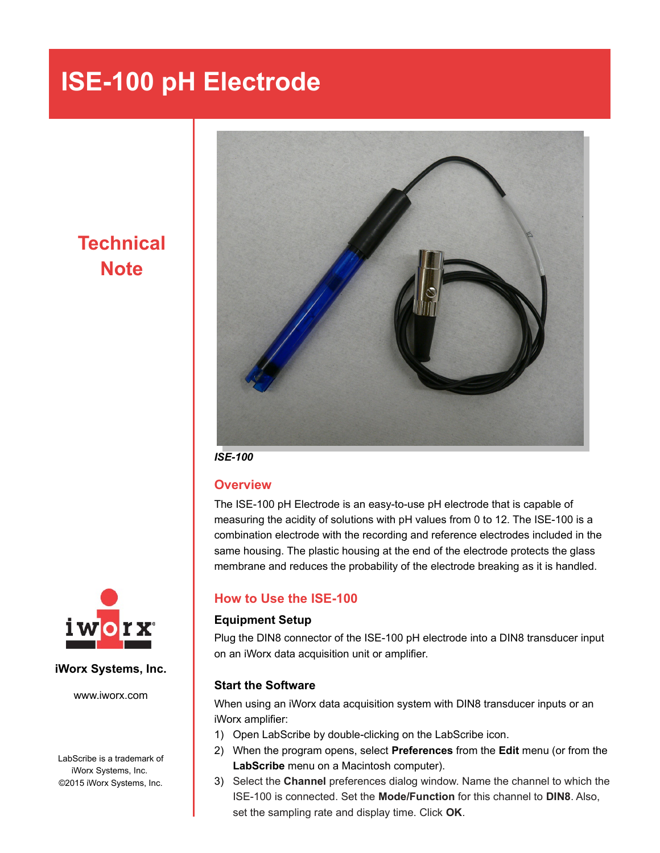## **ISE-100 pH Electrode**

**Technical Note**



*ISE-100*

### **Overview**

The ISE-100 pH Electrode is an easy-to-use pH electrode that is capable of measuring the acidity of solutions with pH values from 0 to 12. The ISE-100 is a combination electrode with the recording and reference electrodes included in the same housing. The plastic housing at the end of the electrode protects the glass membrane and reduces the probability of the electrode breaking as it is handled.

## **How to Use the ISE-100**

#### **Equipment Setup**

Plug the DIN8 connector of the ISE-100 pH electrode into a DIN8 transducer input on an iWorx data acquisition unit or amplifier.

#### **Start the Software**

When using an iWorx data acquisition system with DIN8 transducer inputs or an iWorx amplifier:

- 1) Open LabScribe by double-clicking on the LabScribe icon.
- 2) When the program opens, select **Preferences** from the **Edit** menu (or from the **LabScribe** menu on a Macintosh computer).
- 3) Select the **Channel** preferences dialog window. Name the channel to which the ISE-100 is connected. Set the **Mode/Function** for this channel to **DIN8**. Also, set the sampling rate and display time. Click **OK**.



#### **iWorx Systems, Inc.**

www.iworx.com

LabScribe is a trademark of iWorx Systems, Inc. ©2015 iWorx Systems, Inc.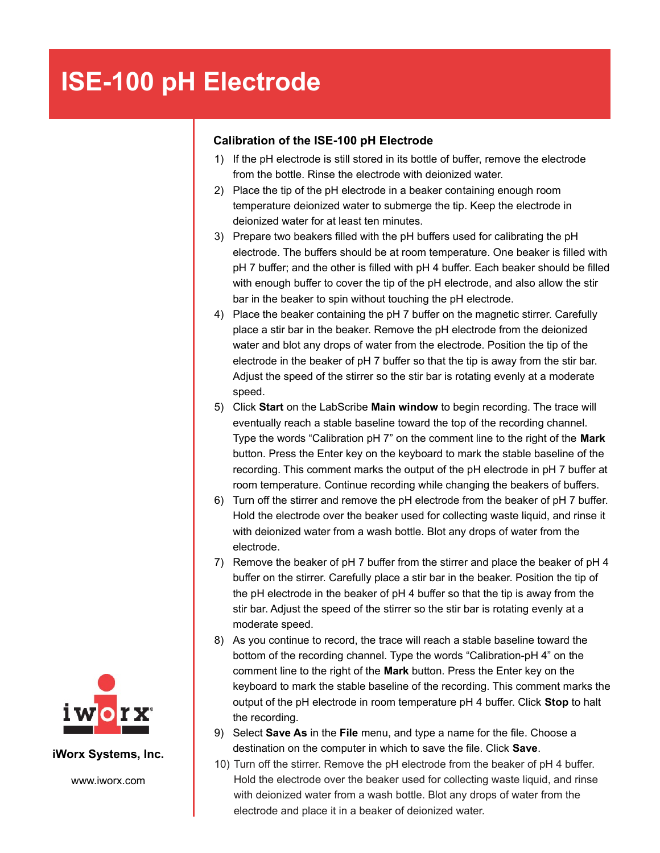# **ISE-100 pH Electrode**

### **Calibration of the ISE-100 pH Electrode**

- 1) If the pH electrode is still stored in its bottle of buffer, remove the electrode from the bottle. Rinse the electrode with deionized water.
- 2) Place the tip of the pH electrode in a beaker containing enough room temperature deionized water to submerge the tip. Keep the electrode in deionized water for at least ten minutes.
- 3) Prepare two beakers filled with the pH buffers used for calibrating the pH electrode. The buffers should be at room temperature. One beaker is filled with pH 7 buffer; and the other is filled with pH 4 buffer. Each beaker should be filled with enough buffer to cover the tip of the pH electrode, and also allow the stir bar in the beaker to spin without touching the pH electrode.
- 4) Place the beaker containing the pH 7 buffer on the magnetic stirrer. Carefully place a stir bar in the beaker. Remove the pH electrode from the deionized water and blot any drops of water from the electrode. Position the tip of the electrode in the beaker of pH 7 buffer so that the tip is away from the stir bar. Adjust the speed of the stirrer so the stir bar is rotating evenly at a moderate speed.
- 5) Click **Start** on the LabScribe **Main window** to begin recording. The trace will eventually reach a stable baseline toward the top of the recording channel. Type the words "Calibration pH 7" on the comment line to the right of the **Mark** button. Press the Enter key on the keyboard to mark the stable baseline of the recording. This comment marks the output of the pH electrode in pH 7 buffer at room temperature. Continue recording while changing the beakers of buffers.
- 6) Turn off the stirrer and remove the pH electrode from the beaker of pH 7 buffer. Hold the electrode over the beaker used for collecting waste liquid, and rinse it with deionized water from a wash bottle. Blot any drops of water from the electrode.
- 7) Remove the beaker of pH 7 buffer from the stirrer and place the beaker of pH 4 buffer on the stirrer. Carefully place a stir bar in the beaker. Position the tip of the pH electrode in the beaker of pH 4 buffer so that the tip is away from the stir bar. Adjust the speed of the stirrer so the stir bar is rotating evenly at a moderate speed.
- 8) As you continue to record, the trace will reach a stable baseline toward the bottom of the recording channel. Type the words "Calibration-pH 4" on the comment line to the right of the **Mark** button. Press the Enter key on the keyboard to mark the stable baseline of the recording. This comment marks the output of the pH electrode in room temperature pH 4 buffer. Click **Stop** to halt the recording.
- 9) Select **Save As** in the **File** menu, and type a name for the file. Choose a destination on the computer in which to save the file. Click **Save**.
- 10) Turn off the stirrer. Remove the pH electrode from the beaker of pH 4 buffer. Hold the electrode over the beaker used for collecting waste liquid, and rinse with deionized water from a wash bottle. Blot any drops of water from the electrode and place it in a beaker of deionized water.



**iWorx Systems, Inc.**

www.iworx.com